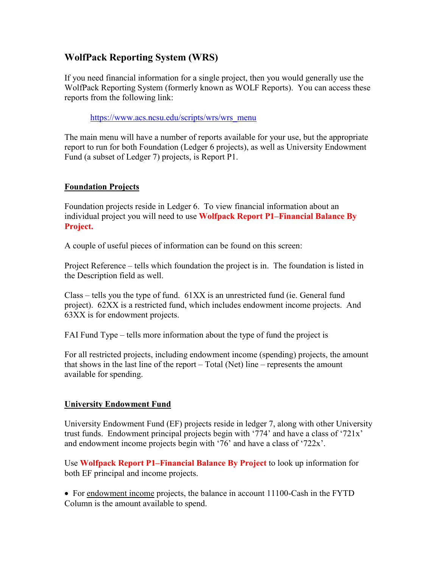## **WolfPack Reporting System (WRS)**

If you need financial information for a single project, then you would generally use the WolfPack Reporting System (formerly known as WOLF Reports). You can access these reports from the following link:

[https://www.acs.ncsu.edu/scripts/wrs/wrs\\_menu](https://www.acs.ncsu.edu/scripts/wrs/wrs_menu)

The main menu will have a number of reports available for your use, but the appropriate report to run for both Foundation (Ledger 6 projects), as well as University Endowment Fund (a subset of Ledger 7) projects, is Report P1.

## **Foundation Projects**

Foundation projects reside in Ledger 6. To view financial information about an individual project you will need to use **Wolfpack Report P1–Financial Balance By Project.**

A couple of useful pieces of information can be found on this screen:

Project Reference – tells which foundation the project is in. The foundation is listed in the Description field as well.

 $Class - tells$  you the type of fund.  $61XX$  is an unrestricted fund (ie. General fund project). 62XX is a restricted fund, which includes endowment income projects. And 63XX is for endowment projects.

FAI Fund Type – tells more information about the type of fund the project is

For all restricted projects, including endowment income (spending) projects, the amount that shows in the last line of the report – Total (Net) line – represents the amount available for spending.

## **University Endowment Fund**

University Endowment Fund (EF) projects reside in ledger 7, along with other University trust funds. Endowment principal projects begin with '774' and have a class of '721x' and endowment income projects begin with '76' and have a class of '722x'.

Use **Wolfpack Report P1–Financial Balance By Project** to look up information for both EF principal and income projects.

• For endowment income projects, the balance in account 11100-Cash in the FYTD Column is the amount available to spend.